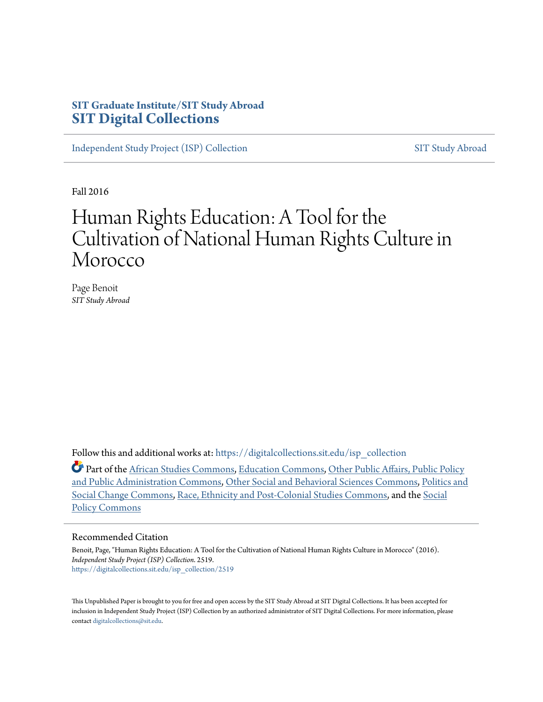## **SIT Graduate Institute/SIT Study Abroad [SIT Digital Collections](https://digitalcollections.sit.edu?utm_source=digitalcollections.sit.edu%2Fisp_collection%2F2519&utm_medium=PDF&utm_campaign=PDFCoverPages)**

[Independent Study Project \(ISP\) Collection](https://digitalcollections.sit.edu/isp_collection?utm_source=digitalcollections.sit.edu%2Fisp_collection%2F2519&utm_medium=PDF&utm_campaign=PDFCoverPages) [SIT Study Abroad](https://digitalcollections.sit.edu/study_abroad?utm_source=digitalcollections.sit.edu%2Fisp_collection%2F2519&utm_medium=PDF&utm_campaign=PDFCoverPages)

Fall 2016

# Human Rights Education: A Tool for the Cultivation of National Human Rights Culture in Morocco

Page Benoit *SIT Study Abroad*

Follow this and additional works at: [https://digitalcollections.sit.edu/isp\\_collection](https://digitalcollections.sit.edu/isp_collection?utm_source=digitalcollections.sit.edu%2Fisp_collection%2F2519&utm_medium=PDF&utm_campaign=PDFCoverPages)

Part of the [African Studies Commons](http://network.bepress.com/hgg/discipline/1043?utm_source=digitalcollections.sit.edu%2Fisp_collection%2F2519&utm_medium=PDF&utm_campaign=PDFCoverPages), [Education Commons,](http://network.bepress.com/hgg/discipline/784?utm_source=digitalcollections.sit.edu%2Fisp_collection%2F2519&utm_medium=PDF&utm_campaign=PDFCoverPages) [Other Public Affairs, Public Policy](http://network.bepress.com/hgg/discipline/403?utm_source=digitalcollections.sit.edu%2Fisp_collection%2F2519&utm_medium=PDF&utm_campaign=PDFCoverPages) [and Public Administration Commons,](http://network.bepress.com/hgg/discipline/403?utm_source=digitalcollections.sit.edu%2Fisp_collection%2F2519&utm_medium=PDF&utm_campaign=PDFCoverPages) [Other Social and Behavioral Sciences Commons](http://network.bepress.com/hgg/discipline/437?utm_source=digitalcollections.sit.edu%2Fisp_collection%2F2519&utm_medium=PDF&utm_campaign=PDFCoverPages), [Politics and](http://network.bepress.com/hgg/discipline/425?utm_source=digitalcollections.sit.edu%2Fisp_collection%2F2519&utm_medium=PDF&utm_campaign=PDFCoverPages) [Social Change Commons](http://network.bepress.com/hgg/discipline/425?utm_source=digitalcollections.sit.edu%2Fisp_collection%2F2519&utm_medium=PDF&utm_campaign=PDFCoverPages), [Race, Ethnicity and Post-Colonial Studies Commons,](http://network.bepress.com/hgg/discipline/566?utm_source=digitalcollections.sit.edu%2Fisp_collection%2F2519&utm_medium=PDF&utm_campaign=PDFCoverPages) and the [Social](http://network.bepress.com/hgg/discipline/1030?utm_source=digitalcollections.sit.edu%2Fisp_collection%2F2519&utm_medium=PDF&utm_campaign=PDFCoverPages) [Policy Commons](http://network.bepress.com/hgg/discipline/1030?utm_source=digitalcollections.sit.edu%2Fisp_collection%2F2519&utm_medium=PDF&utm_campaign=PDFCoverPages)

#### Recommended Citation

Benoit, Page, "Human Rights Education: A Tool for the Cultivation of National Human Rights Culture in Morocco" (2016). *Independent Study Project (ISP) Collection*. 2519. [https://digitalcollections.sit.edu/isp\\_collection/2519](https://digitalcollections.sit.edu/isp_collection/2519?utm_source=digitalcollections.sit.edu%2Fisp_collection%2F2519&utm_medium=PDF&utm_campaign=PDFCoverPages)

This Unpublished Paper is brought to you for free and open access by the SIT Study Abroad at SIT Digital Collections. It has been accepted for inclusion in Independent Study Project (ISP) Collection by an authorized administrator of SIT Digital Collections. For more information, please contact [digitalcollections@sit.edu](mailto:digitalcollections@sit.edu).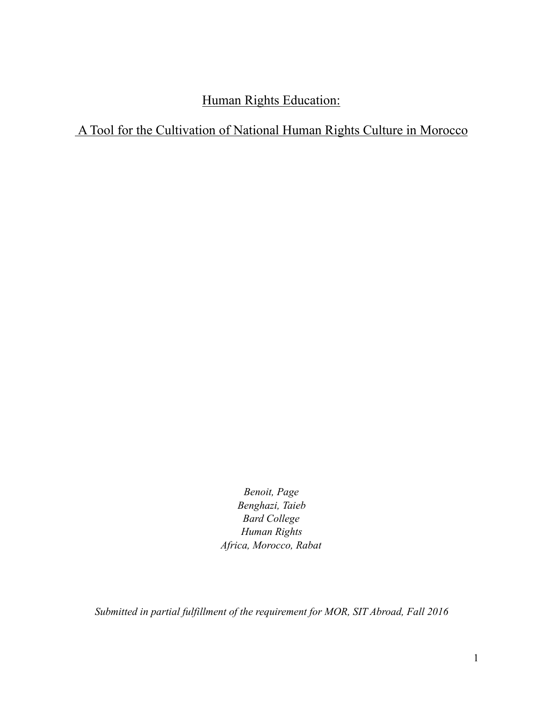## Human Rights Education:

## A Tool for the Cultivation of National Human Rights Culture in Morocco

*Benoit, Page Benghazi, Taieb Bard College Human Rights Africa, Morocco, Rabat* 

*Submitted in partial fulfillment of the requirement for MOR, SIT Abroad, Fall 2016*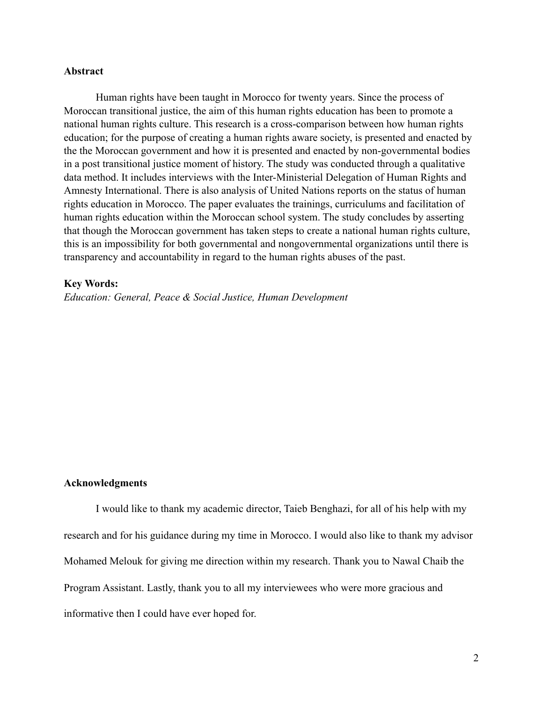#### **Abstract**

 Human rights have been taught in Morocco for twenty years. Since the process of Moroccan transitional justice, the aim of this human rights education has been to promote a national human rights culture. This research is a cross-comparison between how human rights education; for the purpose of creating a human rights aware society, is presented and enacted by the the Moroccan government and how it is presented and enacted by non-governmental bodies in a post transitional justice moment of history. The study was conducted through a qualitative data method. It includes interviews with the Inter-Ministerial Delegation of Human Rights and Amnesty International. There is also analysis of United Nations reports on the status of human rights education in Morocco. The paper evaluates the trainings, curriculums and facilitation of human rights education within the Moroccan school system. The study concludes by asserting that though the Moroccan government has taken steps to create a national human rights culture, this is an impossibility for both governmental and nongovernmental organizations until there is transparency and accountability in regard to the human rights abuses of the past.

#### **Key Words:**

*Education: General, Peace & Social Justice, Human Development*

#### **Acknowledgments**

 I would like to thank my academic director, Taieb Benghazi, for all of his help with my research and for his guidance during my time in Morocco. I would also like to thank my advisor Mohamed Melouk for giving me direction within my research. Thank you to Nawal Chaib the Program Assistant. Lastly, thank you to all my interviewees who were more gracious and informative then I could have ever hoped for.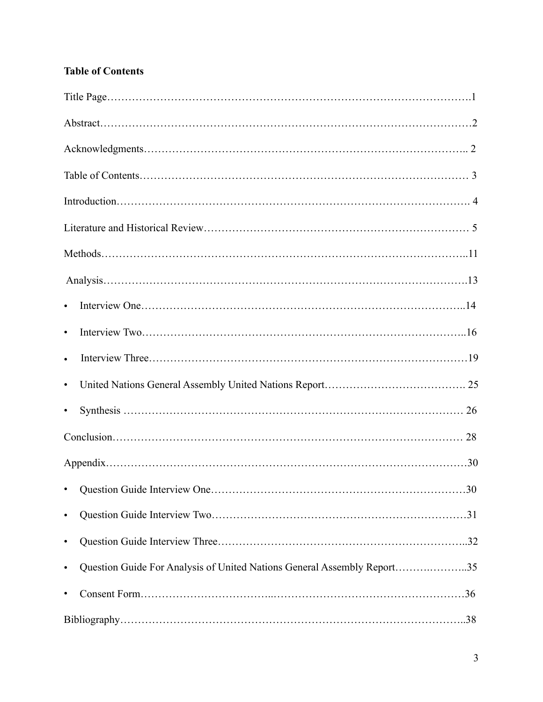## **Table of Contents**

| $\bullet$                                                                            |  |
|--------------------------------------------------------------------------------------|--|
| $\bullet$                                                                            |  |
| $\bullet$                                                                            |  |
| $\bullet$                                                                            |  |
| $\bullet$                                                                            |  |
|                                                                                      |  |
|                                                                                      |  |
|                                                                                      |  |
| $\bullet$                                                                            |  |
| $\bullet$                                                                            |  |
| Question Guide For Analysis of United Nations General Assembly Report35<br>$\bullet$ |  |
| $\bullet$                                                                            |  |
|                                                                                      |  |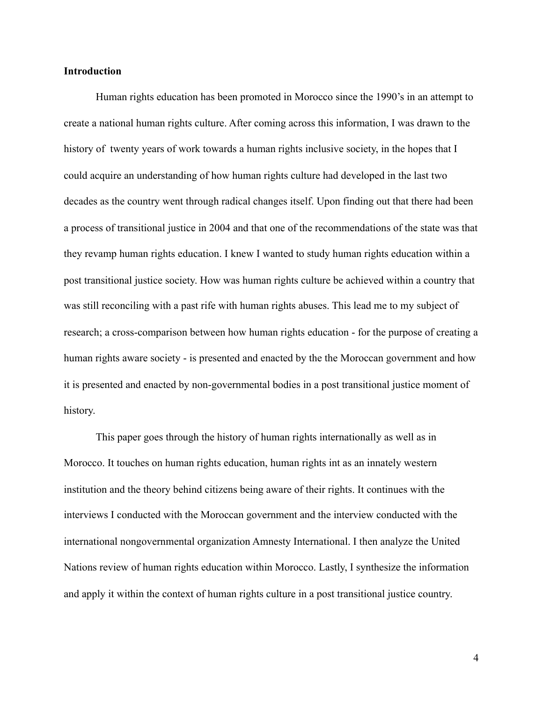#### **Introduction**

 Human rights education has been promoted in Morocco since the 1990's in an attempt to create a national human rights culture. After coming across this information, I was drawn to the history of twenty years of work towards a human rights inclusive society, in the hopes that I could acquire an understanding of how human rights culture had developed in the last two decades as the country went through radical changes itself. Upon finding out that there had been a process of transitional justice in 2004 and that one of the recommendations of the state was that they revamp human rights education. I knew I wanted to study human rights education within a post transitional justice society. How was human rights culture be achieved within a country that was still reconciling with a past rife with human rights abuses. This lead me to my subject of research; a cross-comparison between how human rights education - for the purpose of creating a human rights aware society - is presented and enacted by the the Moroccan government and how it is presented and enacted by non-governmental bodies in a post transitional justice moment of history.

 This paper goes through the history of human rights internationally as well as in Morocco. It touches on human rights education, human rights int as an innately western institution and the theory behind citizens being aware of their rights. It continues with the interviews I conducted with the Moroccan government and the interview conducted with the international nongovernmental organization Amnesty International. I then analyze the United Nations review of human rights education within Morocco. Lastly, I synthesize the information and apply it within the context of human rights culture in a post transitional justice country.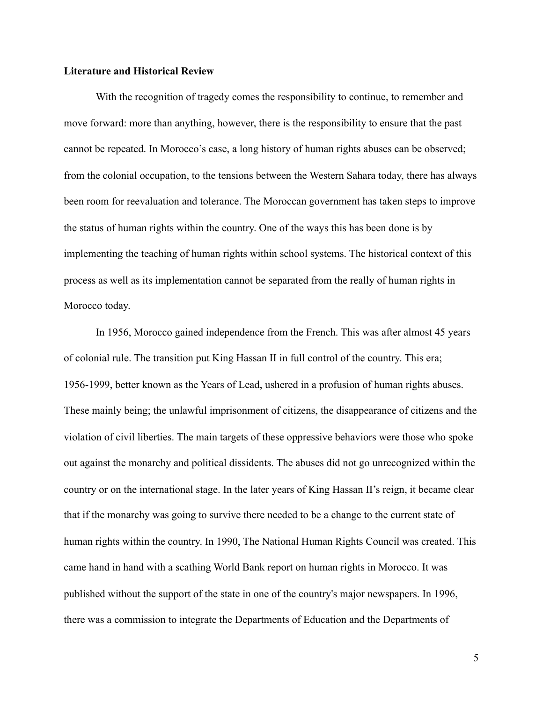#### **Literature and Historical Review**

 With the recognition of tragedy comes the responsibility to continue, to remember and move forward: more than anything, however, there is the responsibility to ensure that the past cannot be repeated. In Morocco's case, a long history of human rights abuses can be observed; from the colonial occupation, to the tensions between the Western Sahara today, there has always been room for reevaluation and tolerance. The Moroccan government has taken steps to improve the status of human rights within the country. One of the ways this has been done is by implementing the teaching of human rights within school systems. The historical context of this process as well as its implementation cannot be separated from the really of human rights in Morocco today.

 In 1956, Morocco gained independence from the French. This was after almost 45 years of colonial rule. The transition put King Hassan II in full control of the country. This era; 1956-1999, better known as the Years of Lead, ushered in a profusion of human rights abuses. These mainly being; the unlawful imprisonment of citizens, the disappearance of citizens and the violation of civil liberties. The main targets of these oppressive behaviors were those who spoke out against the monarchy and political dissidents. The abuses did not go unrecognized within the country or on the international stage. In the later years of King Hassan II's reign, it became clear that if the monarchy was going to survive there needed to be a change to the current state of human rights within the country. In 1990, The National Human Rights Council was created. This came hand in hand with a scathing World Bank report on human rights in Morocco. It was published without the support of the state in one of the country's major newspapers. In 1996, there was a commission to integrate the Departments of Education and the Departments of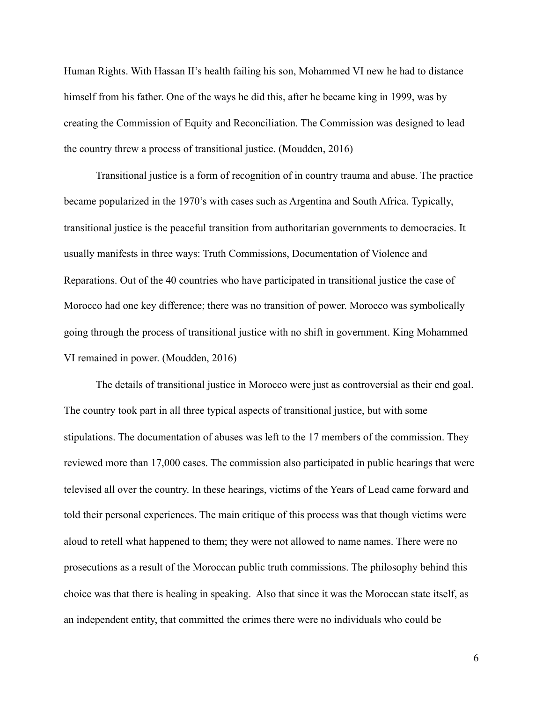Human Rights. With Hassan II's health failing his son, Mohammed VI new he had to distance himself from his father. One of the ways he did this, after he became king in 1999, was by creating the Commission of Equity and Reconciliation. The Commission was designed to lead the country threw a process of transitional justice. (Moudden, 2016)

 Transitional justice is a form of recognition of in country trauma and abuse. The practice became popularized in the 1970's with cases such as Argentina and South Africa. Typically, transitional justice is the peaceful transition from authoritarian governments to democracies. It usually manifests in three ways: Truth Commissions, Documentation of Violence and Reparations. Out of the 40 countries who have participated in transitional justice the case of Morocco had one key difference; there was no transition of power. Morocco was symbolically going through the process of transitional justice with no shift in government. King Mohammed VI remained in power. (Moudden, 2016)

 The details of transitional justice in Morocco were just as controversial as their end goal. The country took part in all three typical aspects of transitional justice, but with some stipulations. The documentation of abuses was left to the 17 members of the commission. They reviewed more than 17,000 cases. The commission also participated in public hearings that were televised all over the country. In these hearings, victims of the Years of Lead came forward and told their personal experiences. The main critique of this process was that though victims were aloud to retell what happened to them; they were not allowed to name names. There were no prosecutions as a result of the Moroccan public truth commissions. The philosophy behind this choice was that there is healing in speaking. Also that since it was the Moroccan state itself, as an independent entity, that committed the crimes there were no individuals who could be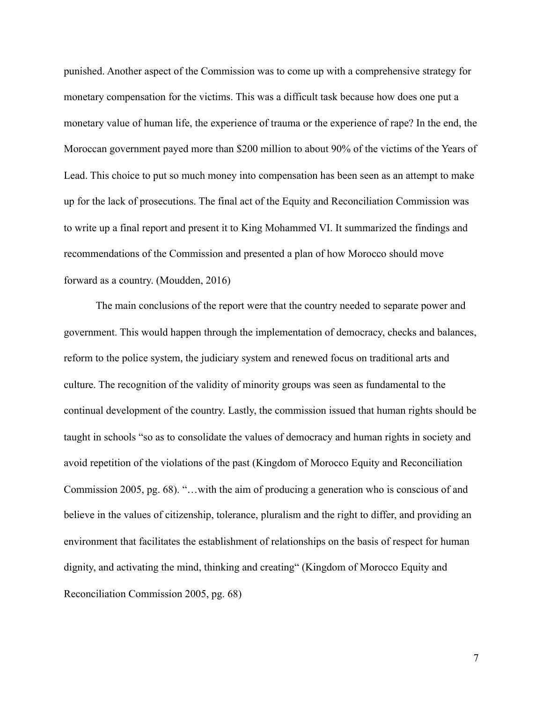punished. Another aspect of the Commission was to come up with a comprehensive strategy for monetary compensation for the victims. This was a difficult task because how does one put a monetary value of human life, the experience of trauma or the experience of rape? In the end, the Moroccan government payed more than \$200 million to about 90% of the victims of the Years of Lead. This choice to put so much money into compensation has been seen as an attempt to make up for the lack of prosecutions. The final act of the Equity and Reconciliation Commission was to write up a final report and present it to King Mohammed VI. It summarized the findings and recommendations of the Commission and presented a plan of how Morocco should move forward as a country. (Moudden, 2016)

 The main conclusions of the report were that the country needed to separate power and government. This would happen through the implementation of democracy, checks and balances, reform to the police system, the judiciary system and renewed focus on traditional arts and culture. The recognition of the validity of minority groups was seen as fundamental to the continual development of the country. Lastly, the commission issued that human rights should be taught in schools "so as to consolidate the values of democracy and human rights in society and avoid repetition of the violations of the past (Kingdom of Morocco Equity and Reconciliation Commission 2005, pg. 68). "…with the aim of producing a generation who is conscious of and believe in the values of citizenship, tolerance, pluralism and the right to differ, and providing an environment that facilitates the establishment of relationships on the basis of respect for human dignity, and activating the mind, thinking and creating" (Kingdom of Morocco Equity and Reconciliation Commission 2005, pg. 68)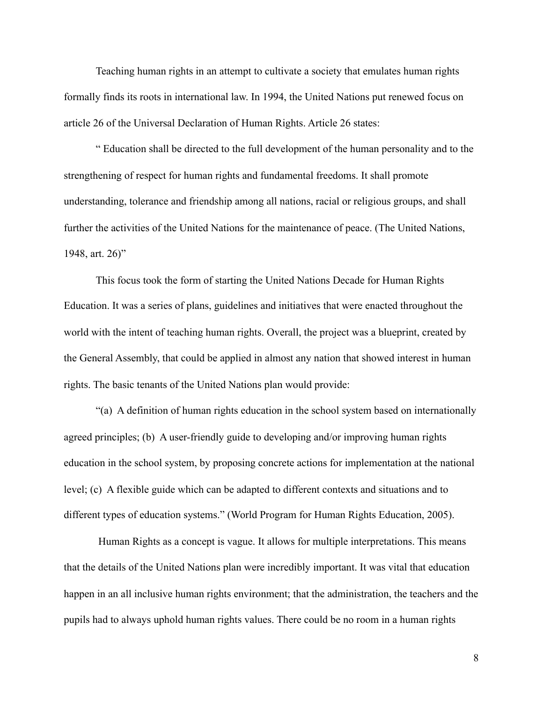Teaching human rights in an attempt to cultivate a society that emulates human rights formally finds its roots in international law. In 1994, the United Nations put renewed focus on article 26 of the Universal Declaration of Human Rights. Article 26 states:

 " Education shall be directed to the full development of the human personality and to the strengthening of respect for human rights and fundamental freedoms. It shall promote understanding, tolerance and friendship among all nations, racial or religious groups, and shall further the activities of the United Nations for the maintenance of peace. (The United Nations, 1948, art. 26)"

 This focus took the form of starting the United Nations Decade for Human Rights Education. It was a series of plans, guidelines and initiatives that were enacted throughout the world with the intent of teaching human rights. Overall, the project was a blueprint, created by the General Assembly, that could be applied in almost any nation that showed interest in human rights. The basic tenants of the United Nations plan would provide:

 "(a) A definition of human rights education in the school system based on internationally agreed principles; (b) A user-friendly guide to developing and/or improving human rights education in the school system, by proposing concrete actions for implementation at the national level; (c) A flexible guide which can be adapted to different contexts and situations and to different types of education systems." (World Program for Human Rights Education, 2005).

 Human Rights as a concept is vague. It allows for multiple interpretations. This means that the details of the United Nations plan were incredibly important. It was vital that education happen in an all inclusive human rights environment; that the administration, the teachers and the pupils had to always uphold human rights values. There could be no room in a human rights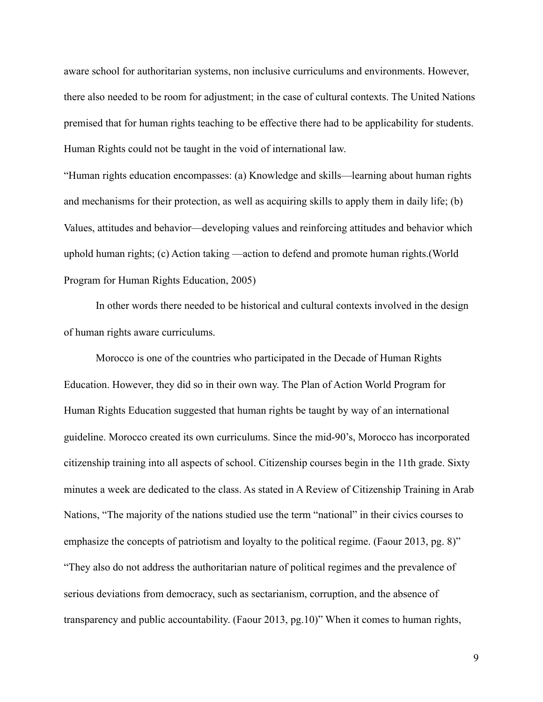aware school for authoritarian systems, non inclusive curriculums and environments. However, there also needed to be room for adjustment; in the case of cultural contexts. The United Nations premised that for human rights teaching to be effective there had to be applicability for students. Human Rights could not be taught in the void of international law.

"Human rights education encompasses: (a) Knowledge and skills—learning about human rights and mechanisms for their protection, as well as acquiring skills to apply them in daily life; (b) Values, attitudes and behavior—developing values and reinforcing attitudes and behavior which uphold human rights; (c) Action taking —action to defend and promote human rights.(World Program for Human Rights Education, 2005)

In other words there needed to be historical and cultural contexts involved in the design of human rights aware curriculums.

 Morocco is one of the countries who participated in the Decade of Human Rights Education. However, they did so in their own way. The Plan of Action World Program for Human Rights Education suggested that human rights be taught by way of an international guideline. Morocco created its own curriculums. Since the mid-90's, Morocco has incorporated citizenship training into all aspects of school. Citizenship courses begin in the 11th grade. Sixty minutes a week are dedicated to the class. As stated in A Review of Citizenship Training in Arab Nations, "The majority of the nations studied use the term "national" in their civics courses to emphasize the concepts of patriotism and loyalty to the political regime. (Faour 2013, pg. 8)" "They also do not address the authoritarian nature of political regimes and the prevalence of serious deviations from democracy, such as sectarianism, corruption, and the absence of transparency and public accountability. (Faour 2013, pg.10)" When it comes to human rights,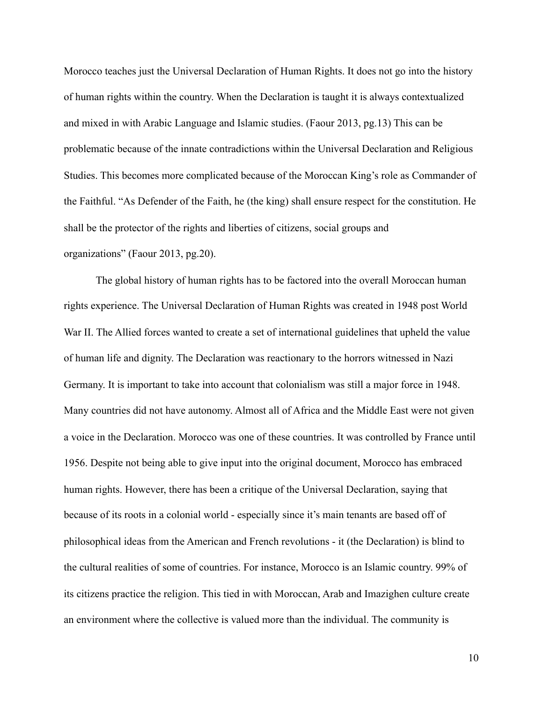Morocco teaches just the Universal Declaration of Human Rights. It does not go into the history of human rights within the country. When the Declaration is taught it is always contextualized and mixed in with Arabic Language and Islamic studies. (Faour 2013, pg.13) This can be problematic because of the innate contradictions within the Universal Declaration and Religious Studies. This becomes more complicated because of the Moroccan King's role as Commander of the Faithful. "As Defender of the Faith, he (the king) shall ensure respect for the constitution. He shall be the protector of the rights and liberties of citizens, social groups and organizations" (Faour 2013, pg.20).

 The global history of human rights has to be factored into the overall Moroccan human rights experience. The Universal Declaration of Human Rights was created in 1948 post World War II. The Allied forces wanted to create a set of international guidelines that upheld the value of human life and dignity. The Declaration was reactionary to the horrors witnessed in Nazi Germany. It is important to take into account that colonialism was still a major force in 1948. Many countries did not have autonomy. Almost all of Africa and the Middle East were not given a voice in the Declaration. Morocco was one of these countries. It was controlled by France until 1956. Despite not being able to give input into the original document, Morocco has embraced human rights. However, there has been a critique of the Universal Declaration, saying that because of its roots in a colonial world - especially since it's main tenants are based off of philosophical ideas from the American and French revolutions - it (the Declaration) is blind to the cultural realities of some of countries. For instance, Morocco is an Islamic country. 99% of its citizens practice the religion. This tied in with Moroccan, Arab and Imazighen culture create an environment where the collective is valued more than the individual. The community is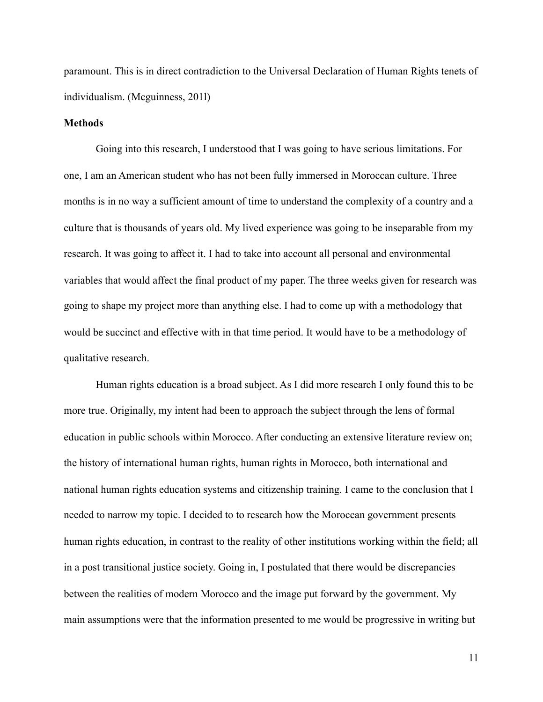paramount. This is in direct contradiction to the Universal Declaration of Human Rights tenets of individualism. (Mcguinness, 201l)

#### **Methods**

 Going into this research, I understood that I was going to have serious limitations. For one, I am an American student who has not been fully immersed in Moroccan culture. Three months is in no way a sufficient amount of time to understand the complexity of a country and a culture that is thousands of years old. My lived experience was going to be inseparable from my research. It was going to affect it. I had to take into account all personal and environmental variables that would affect the final product of my paper. The three weeks given for research was going to shape my project more than anything else. I had to come up with a methodology that would be succinct and effective with in that time period. It would have to be a methodology of qualitative research.

 Human rights education is a broad subject. As I did more research I only found this to be more true. Originally, my intent had been to approach the subject through the lens of formal education in public schools within Morocco. After conducting an extensive literature review on; the history of international human rights, human rights in Morocco, both international and national human rights education systems and citizenship training. I came to the conclusion that I needed to narrow my topic. I decided to to research how the Moroccan government presents human rights education, in contrast to the reality of other institutions working within the field; all in a post transitional justice society. Going in, I postulated that there would be discrepancies between the realities of modern Morocco and the image put forward by the government. My main assumptions were that the information presented to me would be progressive in writing but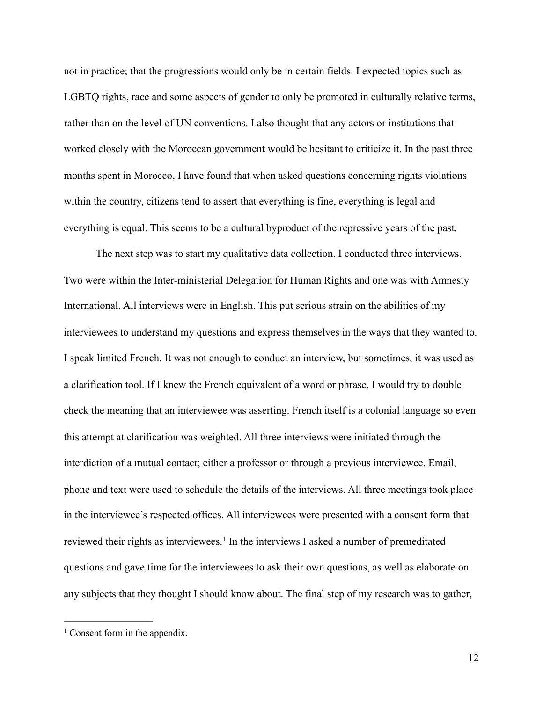not in practice; that the progressions would only be in certain fields. I expected topics such as LGBTQ rights, race and some aspects of gender to only be promoted in culturally relative terms, rather than on the level of UN conventions. I also thought that any actors or institutions that worked closely with the Moroccan government would be hesitant to criticize it. In the past three months spent in Morocco, I have found that when asked questions concerning rights violations within the country, citizens tend to assert that everything is fine, everything is legal and everything is equal. This seems to be a cultural byproduct of the repressive years of the past.

 The next step was to start my qualitative data collection. I conducted three interviews. Two were within the Inter-ministerial Delegation for Human Rights and one was with Amnesty International. All interviews were in English. This put serious strain on the abilities of my interviewees to understand my questions and express themselves in the ways that they wanted to. I speak limited French. It was not enough to conduct an interview, but sometimes, it was used as a clarification tool. If I knew the French equivalent of a word or phrase, I would try to double check the meaning that an interviewee was asserting. French itself is a colonial language so even this attempt at clarification was weighted. All three interviews were initiated through the interdiction of a mutual contact; either a professor or through a previous interviewee. Email, phone and text were used to schedule the details of the interviews. All three meetings took place in the interviewee's respected offices. All interviewees were presented with a consent form that reviewedtheir rights as interviewees.<sup>[1](#page-12-0)</sup> In the interviews I asked a number of premeditated questions and gave time for the interviewees to ask their own questions, as well as elaborate on any subjects that they thought I should know about. The final step of my research was to gather,

<span id="page-12-1"></span><span id="page-12-0"></span> $<sup>1</sup>$  $<sup>1</sup>$  $<sup>1</sup>$  Consent form in the appendix.</sup>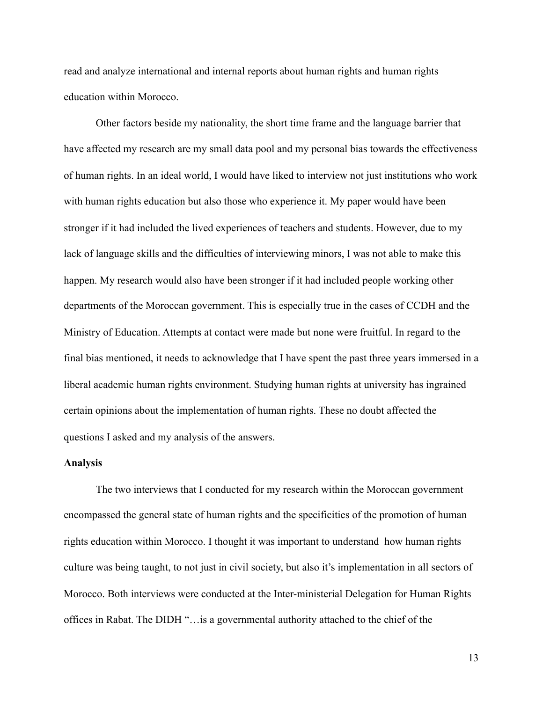read and analyze international and internal reports about human rights and human rights education within Morocco.

 Other factors beside my nationality, the short time frame and the language barrier that have affected my research are my small data pool and my personal bias towards the effectiveness of human rights. In an ideal world, I would have liked to interview not just institutions who work with human rights education but also those who experience it. My paper would have been stronger if it had included the lived experiences of teachers and students. However, due to my lack of language skills and the difficulties of interviewing minors, I was not able to make this happen. My research would also have been stronger if it had included people working other departments of the Moroccan government. This is especially true in the cases of CCDH and the Ministry of Education. Attempts at contact were made but none were fruitful. In regard to the final bias mentioned, it needs to acknowledge that I have spent the past three years immersed in a liberal academic human rights environment. Studying human rights at university has ingrained certain opinions about the implementation of human rights. These no doubt affected the questions I asked and my analysis of the answers.

#### **Analysis**

 The two interviews that I conducted for my research within the Moroccan government encompassed the general state of human rights and the specificities of the promotion of human rights education within Morocco. I thought it was important to understand how human rights culture was being taught, to not just in civil society, but also it's implementation in all sectors of Morocco. Both interviews were conducted at the Inter-ministerial Delegation for Human Rights offices in Rabat. The DIDH "…is a governmental authority attached to the chief of the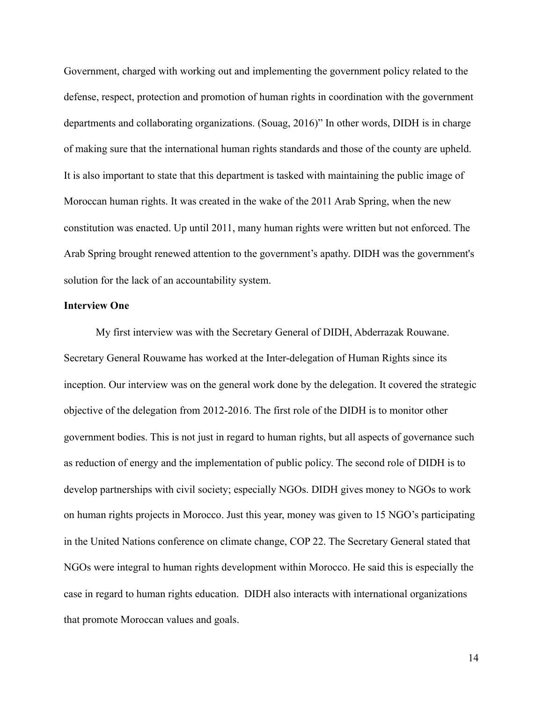Government, charged with working out and implementing the government policy related to the defense, respect, protection and promotion of human rights in coordination with the government departments and collaborating organizations. (Souag, 2016)" In other words, DIDH is in charge of making sure that the international human rights standards and those of the county are upheld. It is also important to state that this department is tasked with maintaining the public image of Moroccan human rights. It was created in the wake of the 2011 Arab Spring, when the new constitution was enacted. Up until 2011, many human rights were written but not enforced. The Arab Spring brought renewed attention to the government's apathy. DIDH was the government's solution for the lack of an accountability system.

#### **Interview One**

 My first interview was with the Secretary General of DIDH, Abderrazak Rouwane. Secretary General Rouwame has worked at the Inter-delegation of Human Rights since its inception. Our interview was on the general work done by the delegation. It covered the strategic objective of the delegation from 2012-2016. The first role of the DIDH is to monitor other government bodies. This is not just in regard to human rights, but all aspects of governance such as reduction of energy and the implementation of public policy. The second role of DIDH is to develop partnerships with civil society; especially NGOs. DIDH gives money to NGOs to work on human rights projects in Morocco. Just this year, money was given to 15 NGO's participating in the United Nations conference on climate change, COP 22. The Secretary General stated that NGOs were integral to human rights development within Morocco. He said this is especially the case in regard to human rights education. DIDH also interacts with international organizations that promote Moroccan values and goals.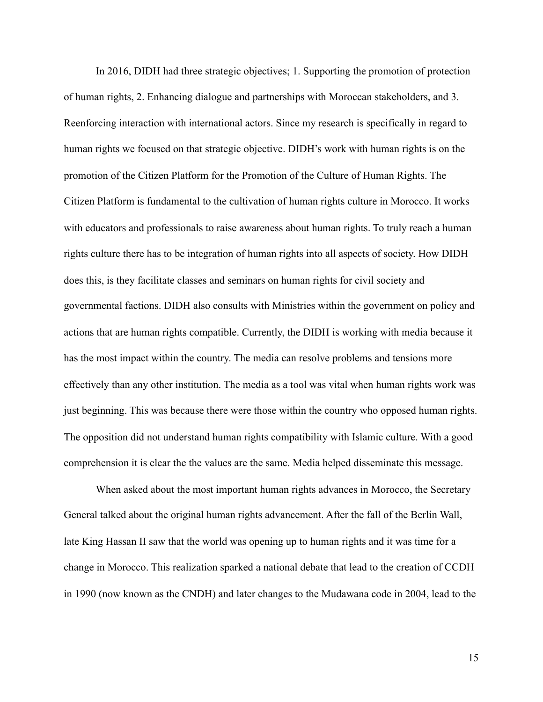In 2016, DIDH had three strategic objectives; 1. Supporting the promotion of protection of human rights, 2. Enhancing dialogue and partnerships with Moroccan stakeholders, and 3. Reenforcing interaction with international actors. Since my research is specifically in regard to human rights we focused on that strategic objective. DIDH's work with human rights is on the promotion of the Citizen Platform for the Promotion of the Culture of Human Rights. The Citizen Platform is fundamental to the cultivation of human rights culture in Morocco. It works with educators and professionals to raise awareness about human rights. To truly reach a human rights culture there has to be integration of human rights into all aspects of society. How DIDH does this, is they facilitate classes and seminars on human rights for civil society and governmental factions. DIDH also consults with Ministries within the government on policy and actions that are human rights compatible. Currently, the DIDH is working with media because it has the most impact within the country. The media can resolve problems and tensions more effectively than any other institution. The media as a tool was vital when human rights work was just beginning. This was because there were those within the country who opposed human rights. The opposition did not understand human rights compatibility with Islamic culture. With a good comprehension it is clear the the values are the same. Media helped disseminate this message.

 When asked about the most important human rights advances in Morocco, the Secretary General talked about the original human rights advancement. After the fall of the Berlin Wall, late King Hassan II saw that the world was opening up to human rights and it was time for a change in Morocco. This realization sparked a national debate that lead to the creation of CCDH in 1990 (now known as the CNDH) and later changes to the Mudawana code in 2004, lead to the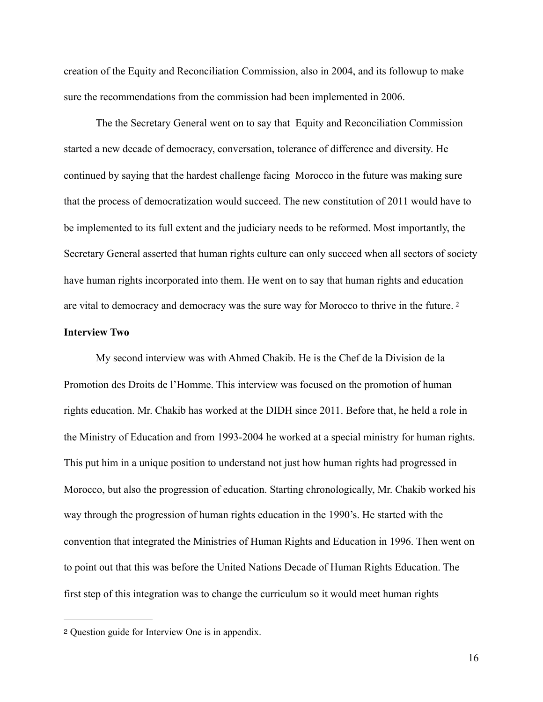creation of the Equity and Reconciliation Commission, also in 2004, and its followup to make sure the recommendations from the commission had been implemented in 2006.

 The the Secretary General went on to say that Equity and Reconciliation Commission started a new decade of democracy, conversation, tolerance of difference and diversity. He continued by saying that the hardest challenge facing Morocco in the future was making sure that the process of democratization would succeed. The new constitution of 2011 would have to be implemented to its full extent and the judiciary needs to be reformed. Most importantly, the Secretary General asserted that human rights culture can only succeed when all sectors of society have human rights incorporated into them. He went on to say that human rights and education are vital to democracy and democracy was the sure way for Morocco to thrive in the future. [2](#page-16-0)

#### <span id="page-16-1"></span>**Interview Two**

 My second interview was with Ahmed Chakib. He is the Chef de la Division de la Promotion des Droits de l'Homme. This interview was focused on the promotion of human rights education. Mr. Chakib has worked at the DIDH since 2011. Before that, he held a role in the Ministry of Education and from 1993-2004 he worked at a special ministry for human rights. This put him in a unique position to understand not just how human rights had progressed in Morocco, but also the progression of education. Starting chronologically, Mr. Chakib worked his way through the progression of human rights education in the 1990's. He started with the convention that integrated the Ministries of Human Rights and Education in 1996. Then went on to point out that this was before the United Nations Decade of Human Rights Education. The first step of this integration was to change the curriculum so it would meet human rights

<span id="page-16-0"></span>[<sup>2</sup>](#page-16-1) Question guide for Interview One is in appendix.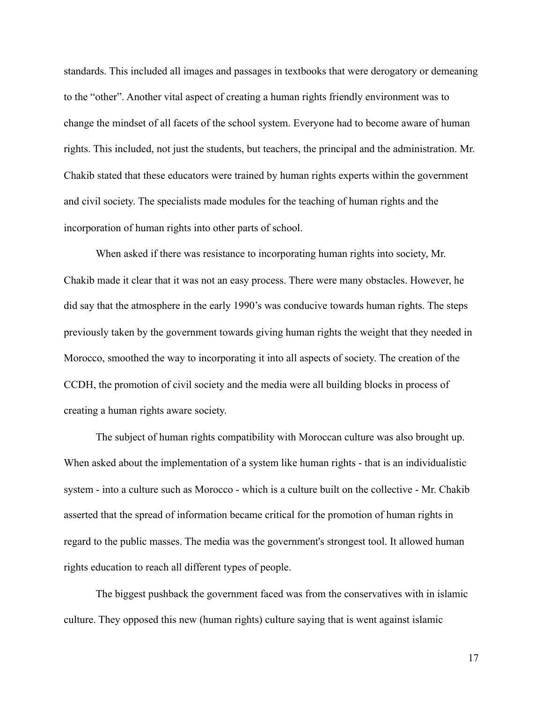standards. This included all images and passages in textbooks that were derogatory or demeaning to the "other". Another vital aspect of creating a human rights friendly environment was to change the mindset of all facets of the school system. Everyone had to become aware of human rights. This included, not just the students, but teachers, the principal and the administration. Mr. Chakib stated that these educators were trained by human rights experts within the government and civil society. The specialists made modules for the teaching of human rights and the incorporation of human rights into other parts of school.

 When asked if there was resistance to incorporating human rights into society, Mr. Chakib made it clear that it was not an easy process. There were many obstacles. However, he did say that the atmosphere in the early 1990's was conducive towards human rights. The steps previously taken by the government towards giving human rights the weight that they needed in Morocco, smoothed the way to incorporating it into all aspects of society. The creation of the CCDH, the promotion of civil society and the media were all building blocks in process of creating a human rights aware society.

 The subject of human rights compatibility with Moroccan culture was also brought up. When asked about the implementation of a system like human rights - that is an individualistic system - into a culture such as Morocco - which is a culture built on the collective - Mr. Chakib asserted that the spread of information became critical for the promotion of human rights in regard to the public masses. The media was the government's strongest tool. It allowed human rights education to reach all different types of people.

 The biggest pushback the government faced was from the conservatives with in islamic culture. They opposed this new (human rights) culture saying that is went against islamic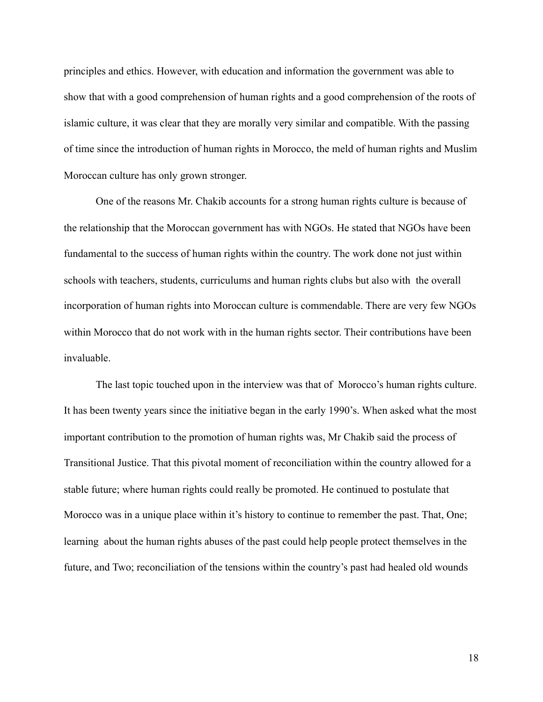principles and ethics. However, with education and information the government was able to show that with a good comprehension of human rights and a good comprehension of the roots of islamic culture, it was clear that they are morally very similar and compatible. With the passing of time since the introduction of human rights in Morocco, the meld of human rights and Muslim Moroccan culture has only grown stronger.

 One of the reasons Mr. Chakib accounts for a strong human rights culture is because of the relationship that the Moroccan government has with NGOs. He stated that NGOs have been fundamental to the success of human rights within the country. The work done not just within schools with teachers, students, curriculums and human rights clubs but also with the overall incorporation of human rights into Moroccan culture is commendable. There are very few NGOs within Morocco that do not work with in the human rights sector. Their contributions have been invaluable.

 The last topic touched upon in the interview was that of Morocco's human rights culture. It has been twenty years since the initiative began in the early 1990's. When asked what the most important contribution to the promotion of human rights was, Mr Chakib said the process of Transitional Justice. That this pivotal moment of reconciliation within the country allowed for a stable future; where human rights could really be promoted. He continued to postulate that Morocco was in a unique place within it's history to continue to remember the past. That, One; learning about the human rights abuses of the past could help people protect themselves in the future, and Two; reconciliation of the tensions within the country's past had healed old wounds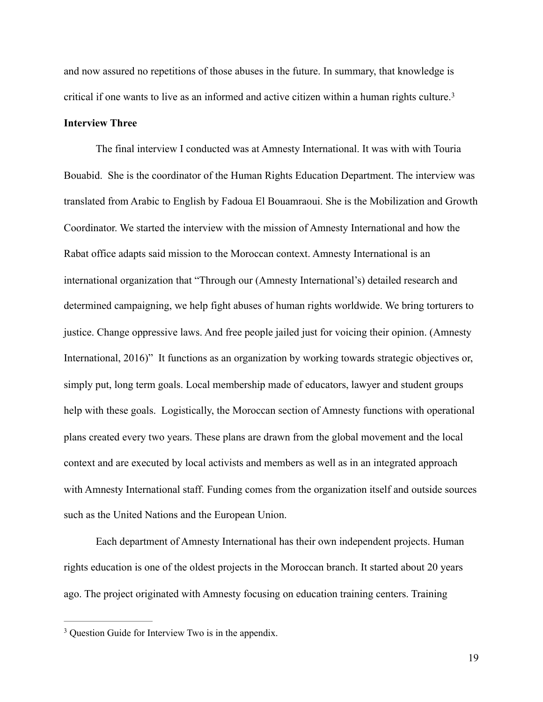and now assured no repetitions of those abuses in the future. In summary, that knowledge is critical if one wants to live as an informed and active citizen within a human rights culture.[3](#page-19-0)

### <span id="page-19-1"></span>**Interview Three**

 The final interview I conducted was at Amnesty International. It was with with Touria Bouabid. She is the coordinator of the Human Rights Education Department. The interview was translated from Arabic to English by Fadoua El Bouamraoui. She is the Mobilization and Growth Coordinator. We started the interview with the mission of Amnesty International and how the Rabat office adapts said mission to the Moroccan context. Amnesty International is an international organization that "Through our (Amnesty International's) detailed research and determined campaigning, we help fight abuses of human rights worldwide. We bring torturers to justice. Change oppressive laws. And free people jailed just for voicing their opinion. (Amnesty International, 2016)" It functions as an organization by working towards strategic objectives or, simply put, long term goals. Local membership made of educators, lawyer and student groups help with these goals. Logistically, the Moroccan section of Amnesty functions with operational plans created every two years. These plans are drawn from the global movement and the local context and are executed by local activists and members as well as in an integrated approach with Amnesty International staff. Funding comes from the organization itself and outside sources such as the United Nations and the European Union.

 Each department of Amnesty International has their own independent projects. Human rights education is one of the oldest projects in the Moroccan branch. It started about 20 years ago. The project originated with Amnesty focusing on education training centers. Training

<span id="page-19-0"></span><sup>&</sup>lt;sup>[3](#page-19-1)</sup> Question Guide for Interview Two is in the appendix.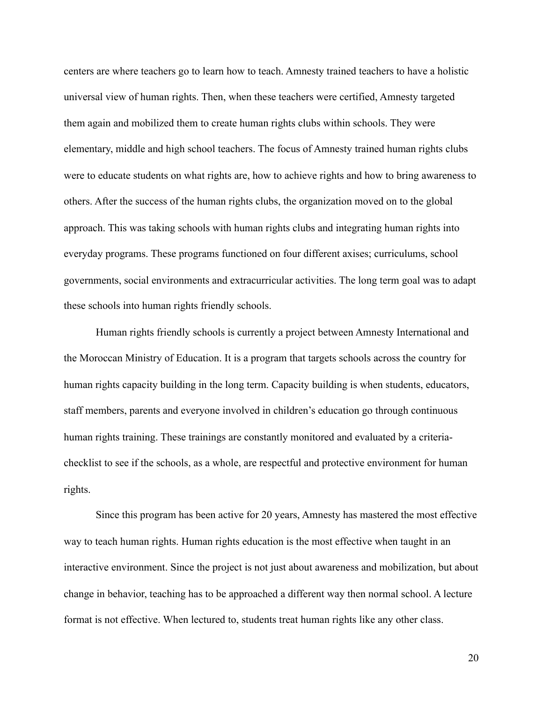centers are where teachers go to learn how to teach. Amnesty trained teachers to have a holistic universal view of human rights. Then, when these teachers were certified, Amnesty targeted them again and mobilized them to create human rights clubs within schools. They were elementary, middle and high school teachers. The focus of Amnesty trained human rights clubs were to educate students on what rights are, how to achieve rights and how to bring awareness to others. After the success of the human rights clubs, the organization moved on to the global approach. This was taking schools with human rights clubs and integrating human rights into everyday programs. These programs functioned on four different axises; curriculums, school governments, social environments and extracurricular activities. The long term goal was to adapt these schools into human rights friendly schools.

 Human rights friendly schools is currently a project between Amnesty International and the Moroccan Ministry of Education. It is a program that targets schools across the country for human rights capacity building in the long term. Capacity building is when students, educators, staff members, parents and everyone involved in children's education go through continuous human rights training. These trainings are constantly monitored and evaluated by a criteriachecklist to see if the schools, as a whole, are respectful and protective environment for human rights.

 Since this program has been active for 20 years, Amnesty has mastered the most effective way to teach human rights. Human rights education is the most effective when taught in an interactive environment. Since the project is not just about awareness and mobilization, but about change in behavior, teaching has to be approached a different way then normal school. A lecture format is not effective. When lectured to, students treat human rights like any other class.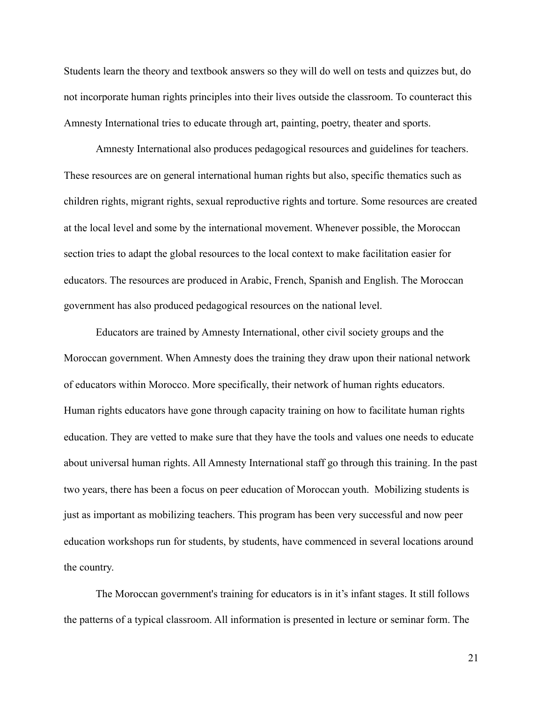Students learn the theory and textbook answers so they will do well on tests and quizzes but, do not incorporate human rights principles into their lives outside the classroom. To counteract this Amnesty International tries to educate through art, painting, poetry, theater and sports.

 Amnesty International also produces pedagogical resources and guidelines for teachers. These resources are on general international human rights but also, specific thematics such as children rights, migrant rights, sexual reproductive rights and torture. Some resources are created at the local level and some by the international movement. Whenever possible, the Moroccan section tries to adapt the global resources to the local context to make facilitation easier for educators. The resources are produced in Arabic, French, Spanish and English. The Moroccan government has also produced pedagogical resources on the national level.

 Educators are trained by Amnesty International, other civil society groups and the Moroccan government. When Amnesty does the training they draw upon their national network of educators within Morocco. More specifically, their network of human rights educators. Human rights educators have gone through capacity training on how to facilitate human rights education. They are vetted to make sure that they have the tools and values one needs to educate about universal human rights. All Amnesty International staff go through this training. In the past two years, there has been a focus on peer education of Moroccan youth. Mobilizing students is just as important as mobilizing teachers. This program has been very successful and now peer education workshops run for students, by students, have commenced in several locations around the country.

 The Moroccan government's training for educators is in it's infant stages. It still follows the patterns of a typical classroom. All information is presented in lecture or seminar form. The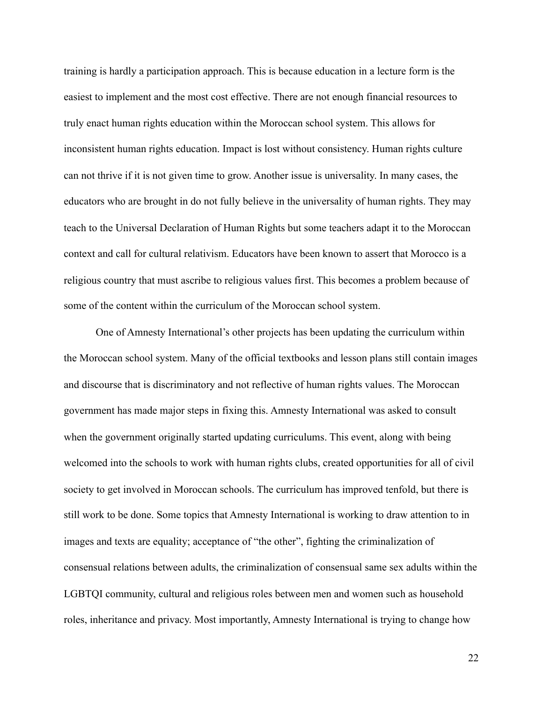training is hardly a participation approach. This is because education in a lecture form is the easiest to implement and the most cost effective. There are not enough financial resources to truly enact human rights education within the Moroccan school system. This allows for inconsistent human rights education. Impact is lost without consistency. Human rights culture can not thrive if it is not given time to grow. Another issue is universality. In many cases, the educators who are brought in do not fully believe in the universality of human rights. They may teach to the Universal Declaration of Human Rights but some teachers adapt it to the Moroccan context and call for cultural relativism. Educators have been known to assert that Morocco is a religious country that must ascribe to religious values first. This becomes a problem because of some of the content within the curriculum of the Moroccan school system.

 One of Amnesty International's other projects has been updating the curriculum within the Moroccan school system. Many of the official textbooks and lesson plans still contain images and discourse that is discriminatory and not reflective of human rights values. The Moroccan government has made major steps in fixing this. Amnesty International was asked to consult when the government originally started updating curriculums. This event, along with being welcomed into the schools to work with human rights clubs, created opportunities for all of civil society to get involved in Moroccan schools. The curriculum has improved tenfold, but there is still work to be done. Some topics that Amnesty International is working to draw attention to in images and texts are equality; acceptance of "the other", fighting the criminalization of consensual relations between adults, the criminalization of consensual same sex adults within the LGBTQI community, cultural and religious roles between men and women such as household roles, inheritance and privacy. Most importantly, Amnesty International is trying to change how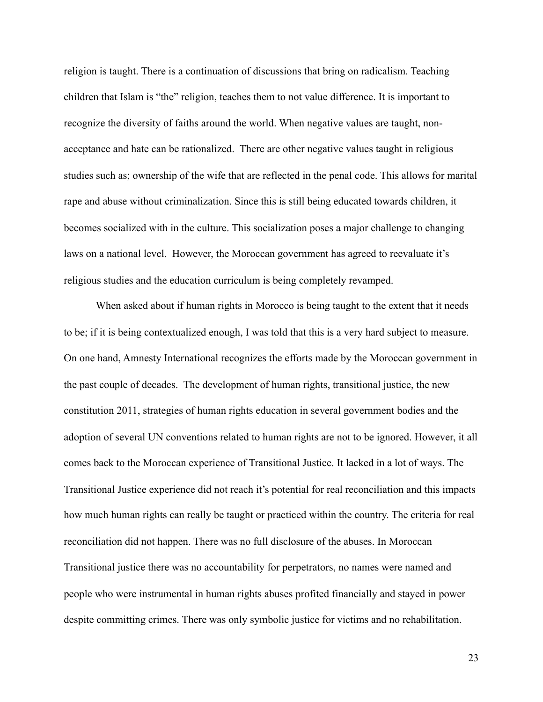religion is taught. There is a continuation of discussions that bring on radicalism. Teaching children that Islam is "the" religion, teaches them to not value difference. It is important to recognize the diversity of faiths around the world. When negative values are taught, nonacceptance and hate can be rationalized. There are other negative values taught in religious studies such as; ownership of the wife that are reflected in the penal code. This allows for marital rape and abuse without criminalization. Since this is still being educated towards children, it becomes socialized with in the culture. This socialization poses a major challenge to changing laws on a national level. However, the Moroccan government has agreed to reevaluate it's religious studies and the education curriculum is being completely revamped.

 When asked about if human rights in Morocco is being taught to the extent that it needs to be; if it is being contextualized enough, I was told that this is a very hard subject to measure. On one hand, Amnesty International recognizes the efforts made by the Moroccan government in the past couple of decades. The development of human rights, transitional justice, the new constitution 2011, strategies of human rights education in several government bodies and the adoption of several UN conventions related to human rights are not to be ignored. However, it all comes back to the Moroccan experience of Transitional Justice. It lacked in a lot of ways. The Transitional Justice experience did not reach it's potential for real reconciliation and this impacts how much human rights can really be taught or practiced within the country. The criteria for real reconciliation did not happen. There was no full disclosure of the abuses. In Moroccan Transitional justice there was no accountability for perpetrators, no names were named and people who were instrumental in human rights abuses profited financially and stayed in power despite committing crimes. There was only symbolic justice for victims and no rehabilitation.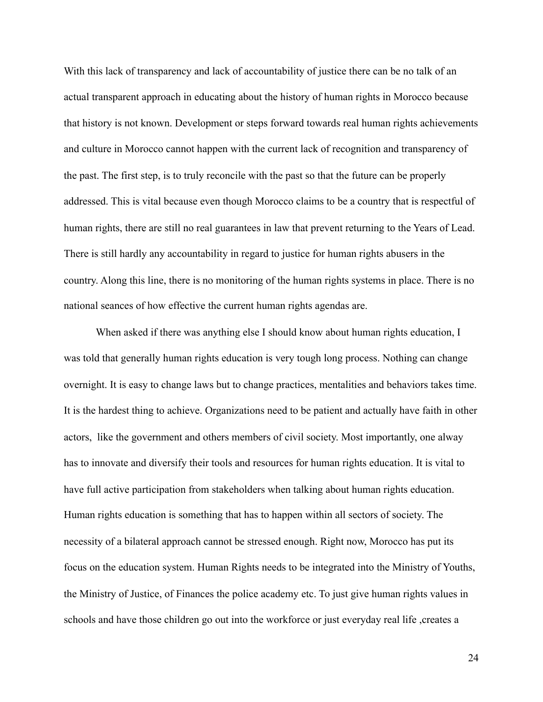With this lack of transparency and lack of accountability of justice there can be no talk of an actual transparent approach in educating about the history of human rights in Morocco because that history is not known. Development or steps forward towards real human rights achievements and culture in Morocco cannot happen with the current lack of recognition and transparency of the past. The first step, is to truly reconcile with the past so that the future can be properly addressed. This is vital because even though Morocco claims to be a country that is respectful of human rights, there are still no real guarantees in law that prevent returning to the Years of Lead. There is still hardly any accountability in regard to justice for human rights abusers in the country. Along this line, there is no monitoring of the human rights systems in place. There is no national seances of how effective the current human rights agendas are.

When asked if there was anything else I should know about human rights education, I was told that generally human rights education is very tough long process. Nothing can change overnight. It is easy to change laws but to change practices, mentalities and behaviors takes time. It is the hardest thing to achieve. Organizations need to be patient and actually have faith in other actors, like the government and others members of civil society. Most importantly, one alway has to innovate and diversify their tools and resources for human rights education. It is vital to have full active participation from stakeholders when talking about human rights education. Human rights education is something that has to happen within all sectors of society. The necessity of a bilateral approach cannot be stressed enough. Right now, Morocco has put its focus on the education system. Human Rights needs to be integrated into the Ministry of Youths, the Ministry of Justice, of Finances the police academy etc. To just give human rights values in schools and have those children go out into the workforce or just everyday real life , creates a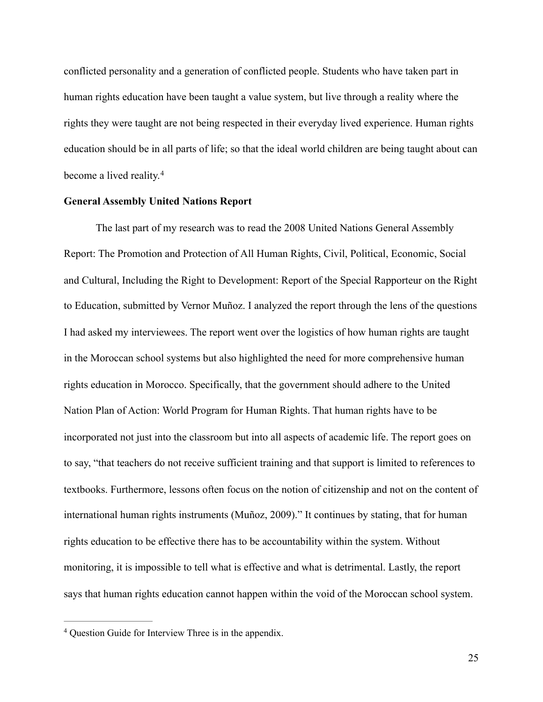conflicted personality and a generation of conflicted people. Students who have taken part in human rights education have been taught a value system, but live through a reality where the rights they were taught are not being respected in their everyday lived experience. Human rights education should be in all parts of life; so that the ideal world children are being taught about can become a lived reality[.](#page-25-0)<sup>4</sup>

#### <span id="page-25-1"></span>**General Assembly United Nations Report**

 The last part of my research was to read the 2008 United Nations General Assembly Report: The Promotion and Protection of All Human Rights, Civil, Political, Economic, Social and Cultural, Including the Right to Development: Report of the Special Rapporteur on the Right to Education, submitted by Vernor Muñoz. I analyzed the report through the lens of the questions I had asked my interviewees. The report went over the logistics of how human rights are taught in the Moroccan school systems but also highlighted the need for more comprehensive human rights education in Morocco. Specifically, that the government should adhere to the United Nation Plan of Action: World Program for Human Rights. That human rights have to be incorporated not just into the classroom but into all aspects of academic life. The report goes on to say, "that teachers do not receive sufficient training and that support is limited to references to textbooks. Furthermore, lessons often focus on the notion of citizenship and not on the content of international human rights instruments (Muñoz, 2009)." It continues by stating, that for human rights education to be effective there has to be accountability within the system. Without monitoring, it is impossible to tell what is effective and what is detrimental. Lastly, the report says that human rights education cannot happen within the void of the Moroccan school system.

<span id="page-25-0"></span><sup>&</sup>lt;sup>[4](#page-25-1)</sup> Question Guide for Interview Three is in the appendix.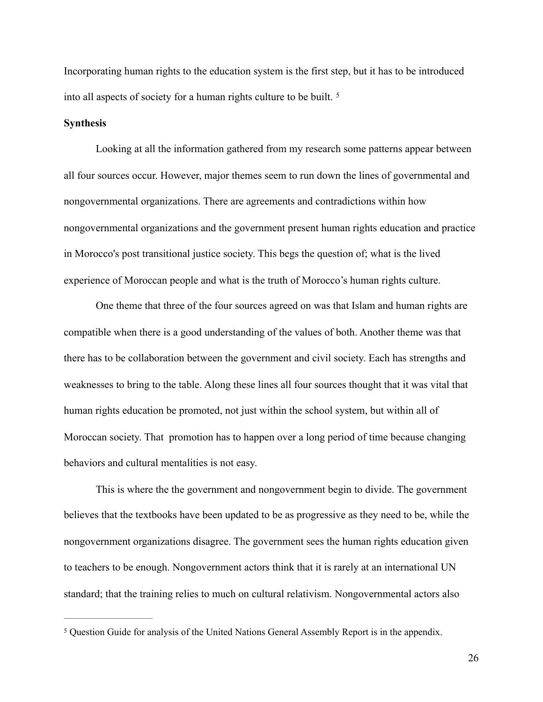Incorporating human rights to the education system is the first step, but it has to be introduced into all aspects of society for a human rights culture to be built. [5](#page-26-0)

#### <span id="page-26-1"></span>**Synthesis**

 Looking at all the information gathered from my research some patterns appear between all four sources occur. However, major themes seem to run down the lines of governmental and nongovernmental organizations. There are agreements and contradictions within how nongovernmental organizations and the government present human rights education and practice in Morocco's post transitional justice society. This begs the question of; what is the lived experience of Moroccan people and what is the truth of Morocco's human rights culture.

 One theme that three of the four sources agreed on was that Islam and human rights are compatible when there is a good understanding of the values of both. Another theme was that there has to be collaboration between the government and civil society. Each has strengths and weaknesses to bring to the table. Along these lines all four sources thought that it was vital that human rights education be promoted, not just within the school system, but within all of Moroccan society. That promotion has to happen over a long period of time because changing behaviors and cultural mentalities is not easy.

 This is where the the government and nongovernment begin to divide. The government believes that the textbooks have been updated to be as progressive as they need to be, while the nongovernment organizations disagree. The government sees the human rights education given to teachers to be enough. Nongovernment actors think that it is rarely at an international UN standard; that the training relies to much on cultural relativism. Nongovernmental actors also

<span id="page-26-0"></span><sup>&</sup>lt;sup>[5](#page-26-1)</sup> Question Guide for analysis of the United Nations General Assembly Report is in the appendix.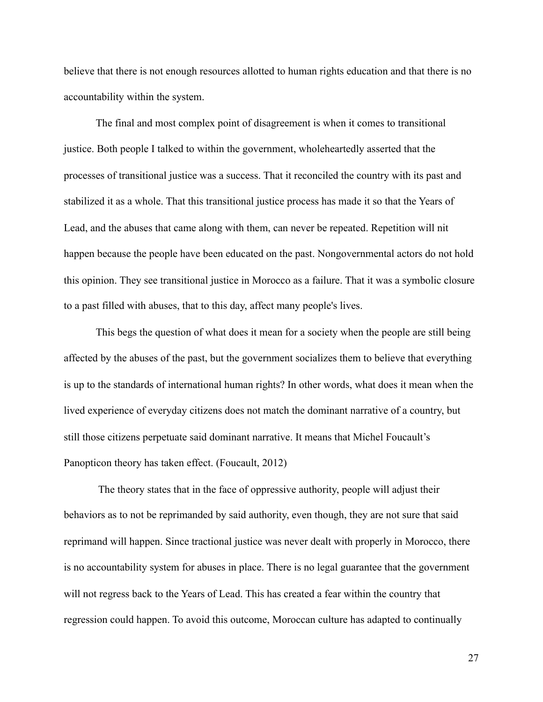believe that there is not enough resources allotted to human rights education and that there is no accountability within the system.

 The final and most complex point of disagreement is when it comes to transitional justice. Both people I talked to within the government, wholeheartedly asserted that the processes of transitional justice was a success. That it reconciled the country with its past and stabilized it as a whole. That this transitional justice process has made it so that the Years of Lead, and the abuses that came along with them, can never be repeated. Repetition will nit happen because the people have been educated on the past. Nongovernmental actors do not hold this opinion. They see transitional justice in Morocco as a failure. That it was a symbolic closure to a past filled with abuses, that to this day, affect many people's lives.

 This begs the question of what does it mean for a society when the people are still being affected by the abuses of the past, but the government socializes them to believe that everything is up to the standards of international human rights? In other words, what does it mean when the lived experience of everyday citizens does not match the dominant narrative of a country, but still those citizens perpetuate said dominant narrative. It means that Michel Foucault's Panopticon theory has taken effect. (Foucault, 2012)

 The theory states that in the face of oppressive authority, people will adjust their behaviors as to not be reprimanded by said authority, even though, they are not sure that said reprimand will happen. Since tractional justice was never dealt with properly in Morocco, there is no accountability system for abuses in place. There is no legal guarantee that the government will not regress back to the Years of Lead. This has created a fear within the country that regression could happen. To avoid this outcome, Moroccan culture has adapted to continually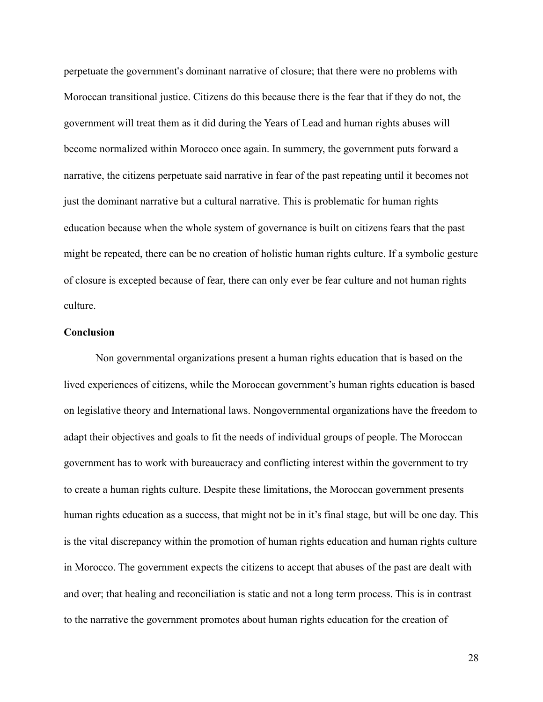perpetuate the government's dominant narrative of closure; that there were no problems with Moroccan transitional justice. Citizens do this because there is the fear that if they do not, the government will treat them as it did during the Years of Lead and human rights abuses will become normalized within Morocco once again. In summery, the government puts forward a narrative, the citizens perpetuate said narrative in fear of the past repeating until it becomes not just the dominant narrative but a cultural narrative. This is problematic for human rights education because when the whole system of governance is built on citizens fears that the past might be repeated, there can be no creation of holistic human rights culture. If a symbolic gesture of closure is excepted because of fear, there can only ever be fear culture and not human rights culture.

#### **Conclusion**

 Non governmental organizations present a human rights education that is based on the lived experiences of citizens, while the Moroccan government's human rights education is based on legislative theory and International laws. Nongovernmental organizations have the freedom to adapt their objectives and goals to fit the needs of individual groups of people. The Moroccan government has to work with bureaucracy and conflicting interest within the government to try to create a human rights culture. Despite these limitations, the Moroccan government presents human rights education as a success, that might not be in it's final stage, but will be one day. This is the vital discrepancy within the promotion of human rights education and human rights culture in Morocco. The government expects the citizens to accept that abuses of the past are dealt with and over; that healing and reconciliation is static and not a long term process. This is in contrast to the narrative the government promotes about human rights education for the creation of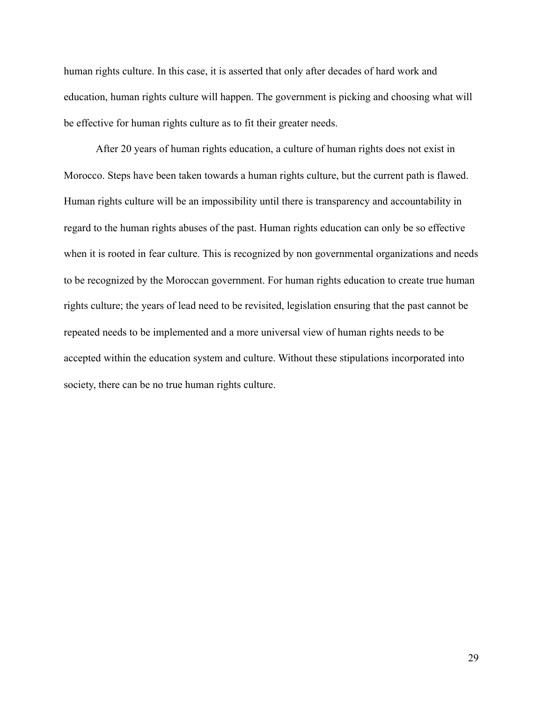human rights culture. In this case, it is asserted that only after decades of hard work and education, human rights culture will happen. The government is picking and choosing what will be effective for human rights culture as to fit their greater needs.

 After 20 years of human rights education, a culture of human rights does not exist in Morocco. Steps have been taken towards a human rights culture, but the current path is flawed. Human rights culture will be an impossibility until there is transparency and accountability in regard to the human rights abuses of the past. Human rights education can only be so effective when it is rooted in fear culture. This is recognized by non governmental organizations and needs to be recognized by the Moroccan government. For human rights education to create true human rights culture; the years of lead need to be revisited, legislation ensuring that the past cannot be repeated needs to be implemented and a more universal view of human rights needs to be accepted within the education system and culture. Without these stipulations incorporated into society, there can be no true human rights culture.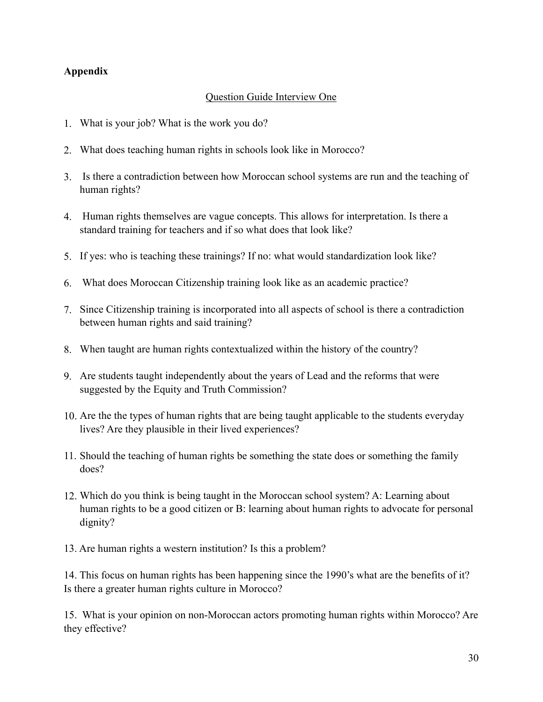## **Appendix**

## Question Guide Interview One

- 1. What is your job? What is the work you do?
- 2. What does teaching human rights in schools look like in Morocco?
- 3. Is there a contradiction between how Moroccan school systems are run and the teaching of human rights?
- 4. Human rights themselves are vague concepts. This allows for interpretation. Is there a standard training for teachers and if so what does that look like?
- 5. If yes: who is teaching these trainings? If no: what would standardization look like?
- 6. What does Moroccan Citizenship training look like as an academic practice?
- 7. Since Citizenship training is incorporated into all aspects of school is there a contradiction between human rights and said training?
- 8. When taught are human rights contextualized within the history of the country?
- 9. Are students taught independently about the years of Lead and the reforms that were suggested by the Equity and Truth Commission?
- 10. Are the the types of human rights that are being taught applicable to the students everyday lives? Are they plausible in their lived experiences?
- 11. Should the teaching of human rights be something the state does or something the family does?
- 12. Which do you think is being taught in the Moroccan school system? A: Learning about human rights to be a good citizen or B: learning about human rights to advocate for personal dignity?
- 13. Are human rights a western institution? Is this a problem?

14. This focus on human rights has been happening since the 1990's what are the benefits of it? Is there a greater human rights culture in Morocco?

15. What is your opinion on non-Moroccan actors promoting human rights within Morocco? Are they effective?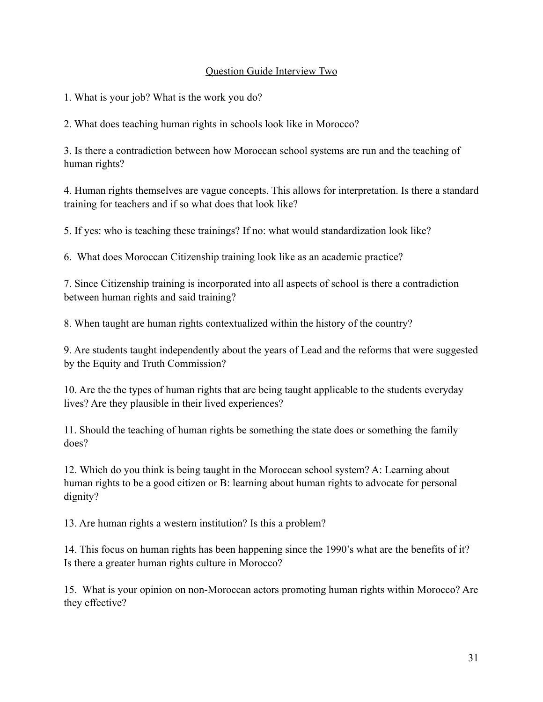## Question Guide Interview Two

1. What is your job? What is the work you do?

2. What does teaching human rights in schools look like in Morocco?

3. Is there a contradiction between how Moroccan school systems are run and the teaching of human rights?

4. Human rights themselves are vague concepts. This allows for interpretation. Is there a standard training for teachers and if so what does that look like?

5. If yes: who is teaching these trainings? If no: what would standardization look like?

6. What does Moroccan Citizenship training look like as an academic practice?

7. Since Citizenship training is incorporated into all aspects of school is there a contradiction between human rights and said training?

8. When taught are human rights contextualized within the history of the country?

9. Are students taught independently about the years of Lead and the reforms that were suggested by the Equity and Truth Commission?

10. Are the the types of human rights that are being taught applicable to the students everyday lives? Are they plausible in their lived experiences?

11. Should the teaching of human rights be something the state does or something the family does?

12. Which do you think is being taught in the Moroccan school system? A: Learning about human rights to be a good citizen or B: learning about human rights to advocate for personal dignity?

13. Are human rights a western institution? Is this a problem?

14. This focus on human rights has been happening since the 1990's what are the benefits of it? Is there a greater human rights culture in Morocco?

15. What is your opinion on non-Moroccan actors promoting human rights within Morocco? Are they effective?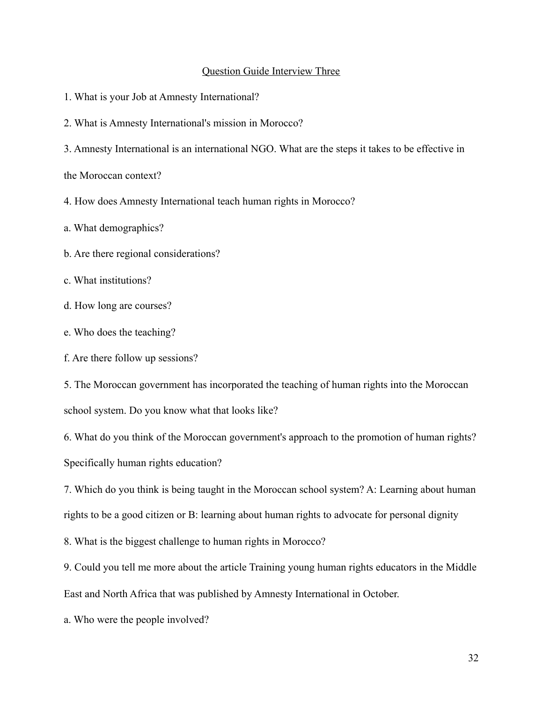#### Question Guide Interview Three

1. What is your Job at Amnesty International?

2. What is Amnesty International's mission in Morocco?

3. Amnesty International is an international NGO. What are the steps it takes to be effective in

the Moroccan context?

- 4. How does Amnesty International teach human rights in Morocco?
- a. What demographics?
- b. Are there regional considerations?
- c. What institutions?
- d. How long are courses?
- e. Who does the teaching?
- f. Are there follow up sessions?

5. The Moroccan government has incorporated the teaching of human rights into the Moroccan school system. Do you know what that looks like?

6. What do you think of the Moroccan government's approach to the promotion of human rights? Specifically human rights education?

7. Which do you think is being taught in the Moroccan school system? A: Learning about human rights to be a good citizen or B: learning about human rights to advocate for personal dignity

8. What is the biggest challenge to human rights in Morocco?

9. Could you tell me more about the article Training young human rights educators in the Middle East and North Africa that was published by Amnesty International in October.

a. Who were the people involved?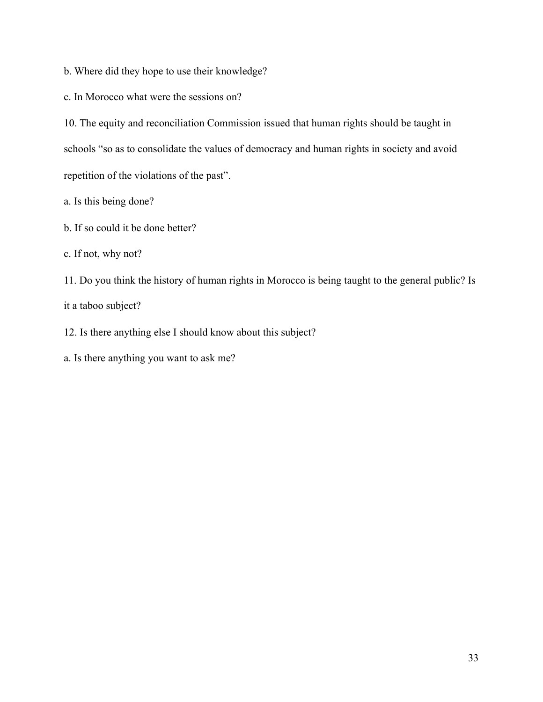b. Where did they hope to use their knowledge?

c. In Morocco what were the sessions on?

10. The equity and reconciliation Commission issued that human rights should be taught in schools "so as to consolidate the values of democracy and human rights in society and avoid repetition of the violations of the past".

a. Is this being done?

b. If so could it be done better?

c. If not, why not?

11. Do you think the history of human rights in Morocco is being taught to the general public? Is it a taboo subject?

12. Is there anything else I should know about this subject?

a. Is there anything you want to ask me?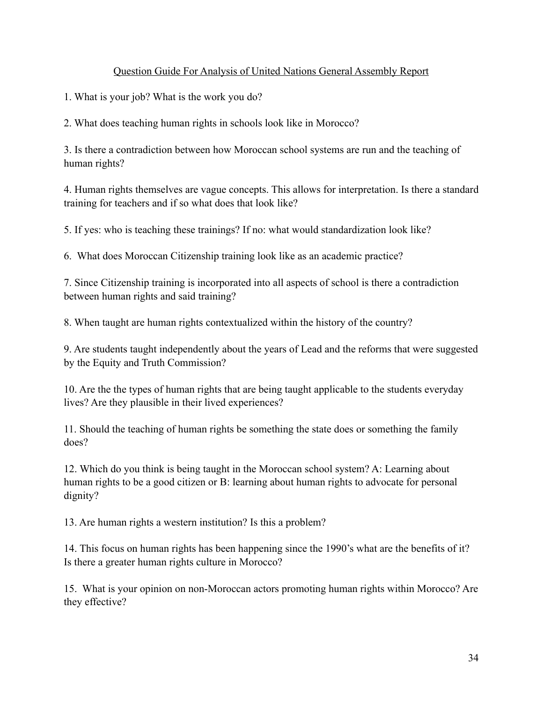## Question Guide For Analysis of United Nations General Assembly Report

1. What is your job? What is the work you do?

2. What does teaching human rights in schools look like in Morocco?

3. Is there a contradiction between how Moroccan school systems are run and the teaching of human rights?

4. Human rights themselves are vague concepts. This allows for interpretation. Is there a standard training for teachers and if so what does that look like?

5. If yes: who is teaching these trainings? If no: what would standardization look like?

6. What does Moroccan Citizenship training look like as an academic practice?

7. Since Citizenship training is incorporated into all aspects of school is there a contradiction between human rights and said training?

8. When taught are human rights contextualized within the history of the country?

9. Are students taught independently about the years of Lead and the reforms that were suggested by the Equity and Truth Commission?

10. Are the the types of human rights that are being taught applicable to the students everyday lives? Are they plausible in their lived experiences?

11. Should the teaching of human rights be something the state does or something the family does?

12. Which do you think is being taught in the Moroccan school system? A: Learning about human rights to be a good citizen or B: learning about human rights to advocate for personal dignity?

13. Are human rights a western institution? Is this a problem?

14. This focus on human rights has been happening since the 1990's what are the benefits of it? Is there a greater human rights culture in Morocco?

15. What is your opinion on non-Moroccan actors promoting human rights within Morocco? Are they effective?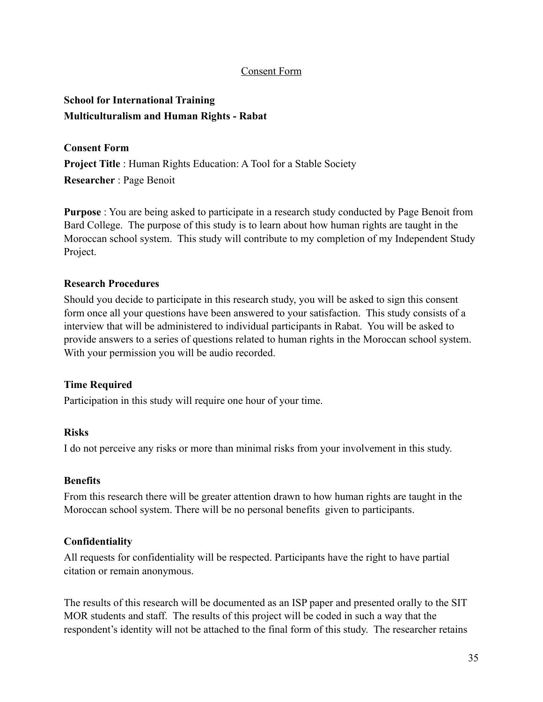## Consent Form

## **School for International Training Multiculturalism and Human Rights - Rabat**

**Consent Form** 

**Project Title** : Human Rights Education: A Tool for a Stable Society **Researcher** : Page Benoit

**Purpose** : You are being asked to participate in a research study conducted by Page Benoit from Bard College. The purpose of this study is to learn about how human rights are taught in the Moroccan school system. This study will contribute to my completion of my Independent Study Project.

### **Research Procedures**

Should you decide to participate in this research study, you will be asked to sign this consent form once all your questions have been answered to your satisfaction. This study consists of a interview that will be administered to individual participants in Rabat. You will be asked to provide answers to a series of questions related to human rights in the Moroccan school system. With your permission you will be audio recorded.

#### **Time Required**

Participation in this study will require one hour of your time.

## **Risks**

I do not perceive any risks or more than minimal risks from your involvement in this study.

## **Benefits**

From this research there will be greater attention drawn to how human rights are taught in the Moroccan school system. There will be no personal benefits given to participants.

## **Confidentiality**

All requests for confidentiality will be respected. Participants have the right to have partial citation or remain anonymous.

The results of this research will be documented as an ISP paper and presented orally to the SIT MOR students and staff. The results of this project will be coded in such a way that the respondent's identity will not be attached to the final form of this study. The researcher retains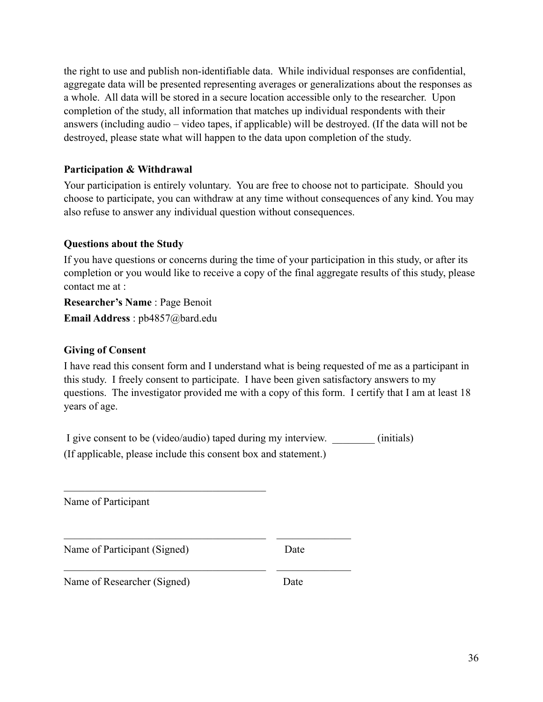the right to use and publish non-identifiable data. While individual responses are confidential, aggregate data will be presented representing averages or generalizations about the responses as a whole. All data will be stored in a secure location accessible only to the researcher. Upon completion of the study, all information that matches up individual respondents with their answers (including audio – video tapes, if applicable) will be destroyed. (If the data will not be destroyed, please state what will happen to the data upon completion of the study.

## **Participation & Withdrawal**

Your participation is entirely voluntary. You are free to choose not to participate. Should you choose to participate, you can withdraw at any time without consequences of any kind. You may also refuse to answer any individual question without consequences.

## **Questions about the Study**

If you have questions or concerns during the time of your participation in this study, or after its completion or you would like to receive a copy of the final aggregate results of this study, please contact me at :

**Researcher's Name** : Page Benoit **Email Address** : pb4857@bard.edu

## **Giving of Consent**

I have read this consent form and I understand what is being requested of me as a participant in this study. I freely consent to participate. I have been given satisfactory answers to my questions. The investigator provided me with a copy of this form. I certify that I am at least 18 years of age.

I give consent to be (video/audio) taped during my interview. (initials) (If applicable, please include this consent box and statement.)

 $\mathcal{L}_\text{max}$  , and the contract of the contract of the contract of the contract of the contract of the contract of the contract of the contract of the contract of the contract of the contract of the contract of the contr

 $\mathcal{L}_\text{max}$  , and the contract of the contract of the contract of the contract of the contract of the contract of the contract of the contract of the contract of the contract of the contract of the contract of the contr

Name of Participant

Name of Participant (Signed) Date

 $\mathcal{L}_\text{max}$  and  $\mathcal{L}_\text{max}$  and  $\mathcal{L}_\text{max}$  and  $\mathcal{L}_\text{max}$ 

Name of Researcher (Signed) Date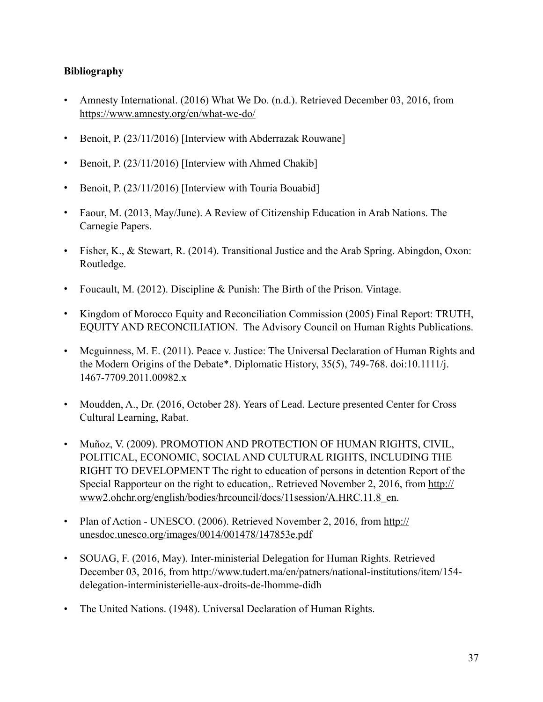## **Bibliography**

- Amnesty International. (2016) What We Do. (n.d.). Retrieved December 03, 2016, from <https://www.amnesty.org/en/what-we-do/>
- Benoit, P. (23/11/2016) [Interview with Abderrazak Rouwane]
- Benoit, P. (23/11/2016) [Interview with Ahmed Chakib]
- Benoit, P. (23/11/2016) [Interview with Touria Bouabid]
- Faour, M. (2013, May/June). A Review of Citizenship Education in Arab Nations. The Carnegie Papers.
- Fisher, K., & Stewart, R. (2014). Transitional Justice and the Arab Spring. Abingdon, Oxon: Routledge.
- Foucault, M. (2012). Discipline & Punish: The Birth of the Prison. Vintage.
- Kingdom of Morocco Equity and Reconciliation Commission (2005) Final Report: TRUTH, EQUITY AND RECONCILIATION. The Advisory Council on Human Rights Publications.
- Mcguinness, M. E. (2011). Peace v. Justice: The Universal Declaration of Human Rights and the Modern Origins of the Debate\*. Diplomatic History, 35(5), 749-768. doi:10.1111/j. 1467-7709.2011.00982.x
- Moudden, A., Dr. (2016, October 28). Years of Lead. Lecture presented Center for Cross Cultural Learning, Rabat.
- Muñoz, V. (2009). PROMOTION AND PROTECTION OF HUMAN RIGHTS, CIVIL, POLITICAL, ECONOMIC, SOCIAL AND CULTURAL RIGHTS, INCLUDING THE RIGHT TO DEVELOPMENT The right to education of persons in detention Report of the [Special Rapporteur on the right to education,. Retrieved November 2, 2016, from http://](http://www2.ohchr.org/english/bodies/hrcouncil/docs/11session/A.HRC.11.8_en) www2.ohchr.org/english/bodies/hrcouncil/docs/11session/A.HRC.11.8\_en.
- [Plan of Action UNESCO. \(2006\). Retrieved November 2, 2016, from http://](http://unesdoc.unesco.org/images/0014/001478/147853e.pdf) unesdoc.unesco.org/images/0014/001478/147853e.pdf
- SOUAG, F. (2016, May). Inter-ministerial Delegation for Human Rights. Retrieved December 03, 2016, from http://www.tudert.ma/en/patners/national-institutions/item/154 delegation-interministerielle-aux-droits-de-lhomme-didh
- The United Nations. (1948). Universal Declaration of Human Rights.